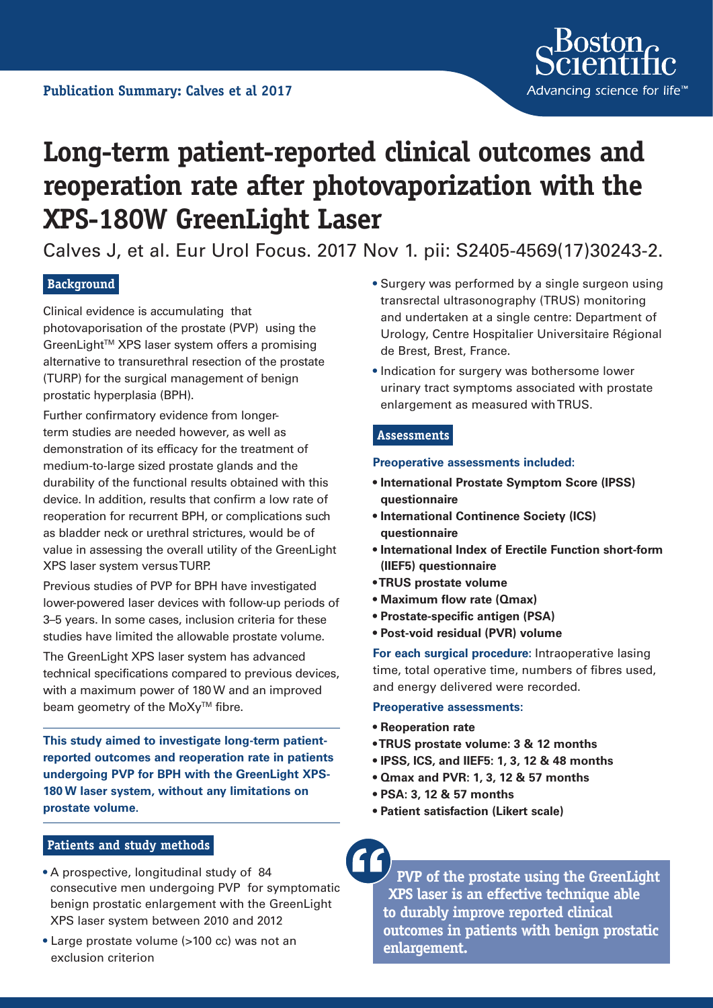

# **Long-term patient-reported clinical outcomes and reoperation rate after photovaporization with the XPS-180W GreenLight Laser**

Calves J, et al. Eur Urol Focus. 2017 Nov 1. pii: S2405-4569(17)30243-2.

## **Background**

Clinical evidence is accumulating that photovaporisation of the prostate (PVP) using the GreenLight™ XPS laser system offers a promising alternative to transurethral resection of the prostate (TURP) for the surgical management of benign prostatic hyperplasia (BPH).

Further confirmatory evidence from longerterm studies are needed however, as well as demonstration of its efficacy for the treatment of medium-to-large sized prostate glands and the durability of the functional results obtained with this device. In addition, results that confirm a low rate of reoperation for recurrent BPH, or complications such as bladder neck or urethral strictures, would be of value in assessing the overall utility of the GreenLight XPS laser system versus TURP.

Previous studies of PVP for BPH have investigated lower-powered laser devices with follow-up periods of 3–5 years. In some cases, inclusion criteria for these studies have limited the allowable prostate volume.

The GreenLight XPS laser system has advanced technical specifications compared to previous devices, with a maximum power of 180 W and an improved beam geometry of the MoXy<sup>™</sup> fibre.

**This study aimed to investigate long-term patientreported outcomes and reoperation rate in patients undergoing PVP for BPH with the GreenLight XPS-180 W laser system, without any limitations on prostate volume.**

- **Patients and study methods**
- A prospective, longitudinal study of 84 consecutive men undergoing PVP for symptomatic benign prostatic enlargement with the GreenLight XPS laser system between 2010 and 2012
- **•** Large prostate volume (>100 cc) was not an exclusion criterion
- **•** Surgery was performed by a single surgeon using transrectal ultrasonography (TRUS) monitoring and undertaken at a single centre: Department of Urology, Centre Hospitalier Universitaire Régional de Brest, Brest, France.
- **•** Indication for surgery was bothersome lower urinary tract symptoms associated with prostate enlargement as measured with TRUS.

## **Assessments**

#### **Preoperative assessments included:**

- **International Prostate Symptom Score (IPSS) questionnaire**
- **International Continence Society (ICS) questionnaire**
- **International Index of Erectile Function short-form (IIEF5) questionnaire**
- **TRUS prostate volume**
- **Maximum flow rate (Qmax)**
- **Prostate-specific antigen (PSA)**
- **Post-void residual (PVR) volume**

**For each surgical procedure:** Intraoperative lasing time, total operative time, numbers of fibres used, and energy delivered were recorded.

#### **Preoperative assessments:**

- **Reoperation rate**
- **TRUS prostate volume: 3 & 12 months**
- **IPSS, ICS, and IIEF5: 1, 3, 12 & 48 months**
- **Qmax and PVR: 1, 3, 12 & 57 months**
- **PSA: 3, 12 & 57 months**
- **Patient satisfaction (Likert scale)**

**PVP of the prostate using the GreenLight XPS laser is an effective technique able to durably improve reported clinical outcomes in patients with benign prostatic enlargement.**